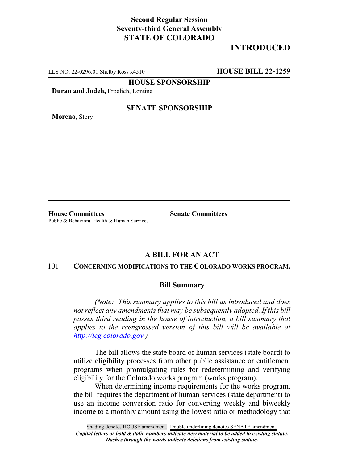## **Second Regular Session Seventy-third General Assembly STATE OF COLORADO**

# **INTRODUCED**

LLS NO. 22-0296.01 Shelby Ross x4510 **HOUSE BILL 22-1259**

**HOUSE SPONSORSHIP**

**Duran and Jodeh,** Froelich, Lontine

**Moreno,** Story

### **SENATE SPONSORSHIP**

**House Committees Senate Committees** Public & Behavioral Health & Human Services

### **A BILL FOR AN ACT**

### 101 **CONCERNING MODIFICATIONS TO THE COLORADO WORKS PROGRAM.**

#### **Bill Summary**

*(Note: This summary applies to this bill as introduced and does not reflect any amendments that may be subsequently adopted. If this bill passes third reading in the house of introduction, a bill summary that applies to the reengrossed version of this bill will be available at http://leg.colorado.gov.)*

The bill allows the state board of human services (state board) to utilize eligibility processes from other public assistance or entitlement programs when promulgating rules for redetermining and verifying eligibility for the Colorado works program (works program).

When determining income requirements for the works program, the bill requires the department of human services (state department) to use an income conversion ratio for converting weekly and biweekly income to a monthly amount using the lowest ratio or methodology that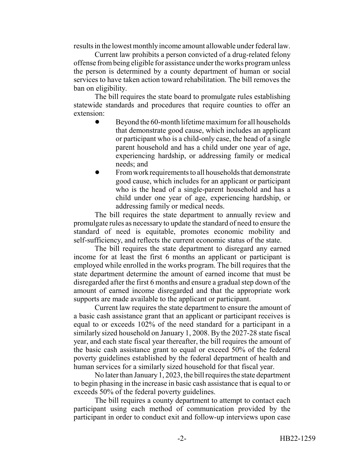results in the lowest monthly income amount allowable under federal law.

Current law prohibits a person convicted of a drug-related felony offense from being eligible for assistance under the works program unless the person is determined by a county department of human or social services to have taken action toward rehabilitation. The bill removes the ban on eligibility.

The bill requires the state board to promulgate rules establishing statewide standards and procedures that require counties to offer an extension:

- Beyond the 60-month lifetime maximum for all households that demonstrate good cause, which includes an applicant or participant who is a child-only case, the head of a single parent household and has a child under one year of age, experiencing hardship, or addressing family or medical needs; and
- ! From work requirements to all households that demonstrate good cause, which includes for an applicant or participant who is the head of a single-parent household and has a child under one year of age, experiencing hardship, or addressing family or medical needs.

The bill requires the state department to annually review and promulgate rules as necessary to update the standard of need to ensure the standard of need is equitable, promotes economic mobility and self-sufficiency, and reflects the current economic status of the state.

The bill requires the state department to disregard any earned income for at least the first 6 months an applicant or participant is employed while enrolled in the works program. The bill requires that the state department determine the amount of earned income that must be disregarded after the first 6 months and ensure a gradual step down of the amount of earned income disregarded and that the appropriate work supports are made available to the applicant or participant.

Current law requires the state department to ensure the amount of a basic cash assistance grant that an applicant or participant receives is equal to or exceeds 102% of the need standard for a participant in a similarly sized household on January 1, 2008. By the 2027-28 state fiscal year, and each state fiscal year thereafter, the bill requires the amount of the basic cash assistance grant to equal or exceed 50% of the federal poverty guidelines established by the federal department of health and human services for a similarly sized household for that fiscal year.

No later than January 1, 2023, the bill requires the state department to begin phasing in the increase in basic cash assistance that is equal to or exceeds 50% of the federal poverty guidelines.

The bill requires a county department to attempt to contact each participant using each method of communication provided by the participant in order to conduct exit and follow-up interviews upon case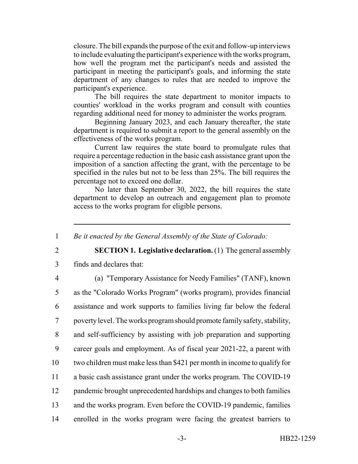closure. The bill expands the purpose of the exit and follow-up interviews to include evaluating the participant's experience with the works program, how well the program met the participant's needs and assisted the participant in meeting the participant's goals, and informing the state department of any changes to rules that are needed to improve the participant's experience.

The bill requires the state department to monitor impacts to counties' workload in the works program and consult with counties regarding additional need for money to administer the works program.

Beginning January 2023, and each January thereafter, the state department is required to submit a report to the general assembly on the effectiveness of the works program.

Current law requires the state board to promulgate rules that require a percentage reduction in the basic cash assistance grant upon the imposition of a sanction affecting the grant, with the percentage to be specified in the rules but not to be less than 25%. The bill requires the percentage not to exceed one dollar.

No later than September 30, 2022, the bill requires the state department to develop an outreach and engagement plan to promote access to the works program for eligible persons.

1 *Be it enacted by the General Assembly of the State of Colorado:*

2 **SECTION 1. Legislative declaration.** (1) The general assembly

3 finds and declares that:

4 (a) "Temporary Assistance for Needy Families" (TANF), known

 as the "Colorado Works Program" (works program), provides financial assistance and work supports to families living far below the federal poverty level. The works program should promote family safety, stability, and self-sufficiency by assisting with job preparation and supporting career goals and employment. As of fiscal year 2021-22, a parent with two children must make less than \$421 per month in income to qualify for a basic cash assistance grant under the works program. The COVID-19 pandemic brought unprecedented hardships and changes to both families and the works program. Even before the COVID-19 pandemic, families enrolled in the works program were facing the greatest barriers to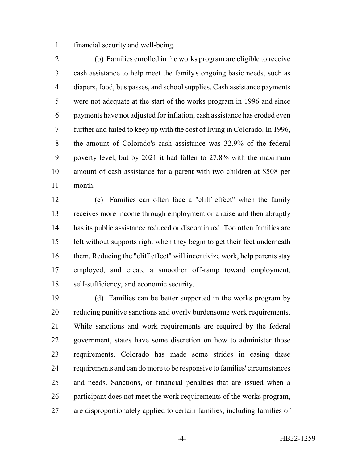financial security and well-being.

 (b) Families enrolled in the works program are eligible to receive cash assistance to help meet the family's ongoing basic needs, such as diapers, food, bus passes, and school supplies. Cash assistance payments were not adequate at the start of the works program in 1996 and since payments have not adjusted for inflation, cash assistance has eroded even further and failed to keep up with the cost of living in Colorado. In 1996, the amount of Colorado's cash assistance was 32.9% of the federal poverty level, but by 2021 it had fallen to 27.8% with the maximum amount of cash assistance for a parent with two children at \$508 per month.

 (c) Families can often face a "cliff effect" when the family receives more income through employment or a raise and then abruptly has its public assistance reduced or discontinued. Too often families are left without supports right when they begin to get their feet underneath them. Reducing the "cliff effect" will incentivize work, help parents stay employed, and create a smoother off-ramp toward employment, self-sufficiency, and economic security.

 (d) Families can be better supported in the works program by reducing punitive sanctions and overly burdensome work requirements. While sanctions and work requirements are required by the federal government, states have some discretion on how to administer those requirements. Colorado has made some strides in easing these requirements and can do more to be responsive to families' circumstances and needs. Sanctions, or financial penalties that are issued when a participant does not meet the work requirements of the works program, are disproportionately applied to certain families, including families of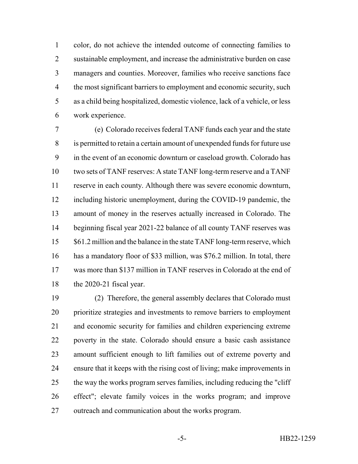color, do not achieve the intended outcome of connecting families to 2 sustainable employment, and increase the administrative burden on case managers and counties. Moreover, families who receive sanctions face 4 the most significant barriers to employment and economic security, such as a child being hospitalized, domestic violence, lack of a vehicle, or less work experience.

 (e) Colorado receives federal TANF funds each year and the state is permitted to retain a certain amount of unexpended funds for future use in the event of an economic downturn or caseload growth. Colorado has two sets of TANF reserves: A state TANF long-term reserve and a TANF reserve in each county. Although there was severe economic downturn, including historic unemployment, during the COVID-19 pandemic, the amount of money in the reserves actually increased in Colorado. The beginning fiscal year 2021-22 balance of all county TANF reserves was 15 \$61.2 million and the balance in the state TANF long-term reserve, which has a mandatory floor of \$33 million, was \$76.2 million. In total, there was more than \$137 million in TANF reserves in Colorado at the end of the 2020-21 fiscal year.

 (2) Therefore, the general assembly declares that Colorado must prioritize strategies and investments to remove barriers to employment and economic security for families and children experiencing extreme poverty in the state. Colorado should ensure a basic cash assistance amount sufficient enough to lift families out of extreme poverty and ensure that it keeps with the rising cost of living; make improvements in the way the works program serves families, including reducing the "cliff effect"; elevate family voices in the works program; and improve outreach and communication about the works program.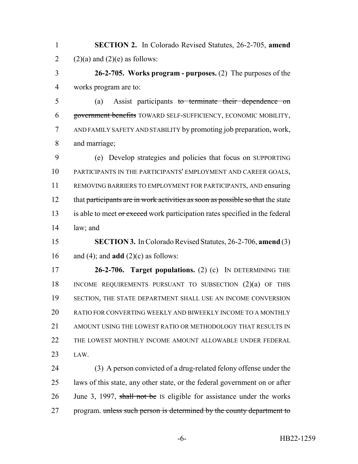**SECTION 2.** In Colorado Revised Statutes, 26-2-705, **amend** 2 (2)(a) and (2)(e) as follows:

 **26-2-705. Works program - purposes.** (2) The purposes of the works program are to:

 (a) Assist participants to terminate their dependence on government benefits TOWARD SELF-SUFFICIENCY, ECONOMIC MOBILITY, AND FAMILY SAFETY AND STABILITY by promoting job preparation, work, and marriage;

 (e) Develop strategies and policies that focus on SUPPORTING PARTICIPANTS IN THE PARTICIPANTS' EMPLOYMENT AND CAREER GOALS, REMOVING BARRIERS TO EMPLOYMENT FOR PARTICIPANTS, AND ensuring 12 that participants are in work activities as soon as possible so that the state 13 is able to meet or exceed work participation rates specified in the federal law; and

 **SECTION 3.** In Colorado Revised Statutes, 26-2-706, **amend** (3) 16 and (4); and **add**  $(2)(c)$  as follows:

 **26-2-706. Target populations.** (2) (c) IN DETERMINING THE INCOME REQUIREMENTS PURSUANT TO SUBSECTION (2)(a) OF THIS SECTION, THE STATE DEPARTMENT SHALL USE AN INCOME CONVERSION 20 RATIO FOR CONVERTING WEEKLY AND BIWEEKLY INCOME TO A MONTHLY 21 AMOUNT USING THE LOWEST RATIO OR METHODOLOGY THAT RESULTS IN THE LOWEST MONTHLY INCOME AMOUNT ALLOWABLE UNDER FEDERAL LAW.

 (3) A person convicted of a drug-related felony offense under the laws of this state, any other state, or the federal government on or after 26 June 3, 1997, shall not be Is eligible for assistance under the works 27 program. unless such person is determined by the county department to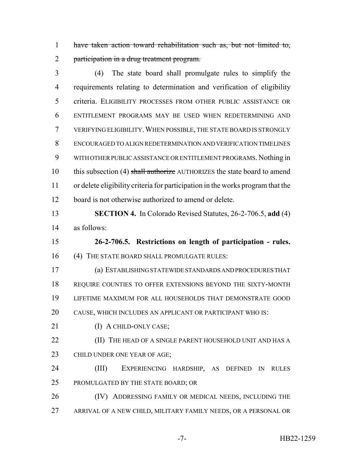have taken action toward rehabilitation such as, but not limited to, 2 participation in a drug treatment program.

 (4) The state board shall promulgate rules to simplify the requirements relating to determination and verification of eligibility criteria. ELIGIBILITY PROCESSES FROM OTHER PUBLIC ASSISTANCE OR ENTITLEMENT PROGRAMS MAY BE USED WHEN REDETERMINING AND VERIFYING ELIGIBILITY.WHEN POSSIBLE, THE STATE BOARD IS STRONGLY ENCOURAGED TO ALIGN REDETERMINATION AND VERIFICATION TIMELINES WITH OTHER PUBLIC ASSISTANCE OR ENTITLEMENT PROGRAMS. Nothing in 10 this subsection (4) shall authorize AUTHORIZES the state board to amend or delete eligibility criteria for participation in the works program that the board is not otherwise authorized to amend or delete.

 **SECTION 4.** In Colorado Revised Statutes, 26-2-706.5, **add** (4) as follows:

 **26-2-706.5. Restrictions on length of participation - rules.** 16 (4) THE STATE BOARD SHALL PROMULGATE RULES:

 (a) ESTABLISHING STATEWIDE STANDARDS AND PROCEDURES THAT REQUIRE COUNTIES TO OFFER EXTENSIONS BEYOND THE SIXTY-MONTH LIFETIME MAXIMUM FOR ALL HOUSEHOLDS THAT DEMONSTRATE GOOD CAUSE, WHICH INCLUDES AN APPLICANT OR PARTICIPANT WHO IS:

21 (I) A CHILD-ONLY CASE;

**(II)** THE HEAD OF A SINGLE PARENT HOUSEHOLD UNIT AND HAS A 23 CHILD UNDER ONE YEAR OF AGE;

 (III) EXPERIENCING HARDSHIP, AS DEFINED IN RULES 25 PROMULGATED BY THE STATE BOARD; OR

26 (IV) ADDRESSING FAMILY OR MEDICAL NEEDS, INCLUDING THE ARRIVAL OF A NEW CHILD, MILITARY FAMILY NEEDS, OR A PERSONAL OR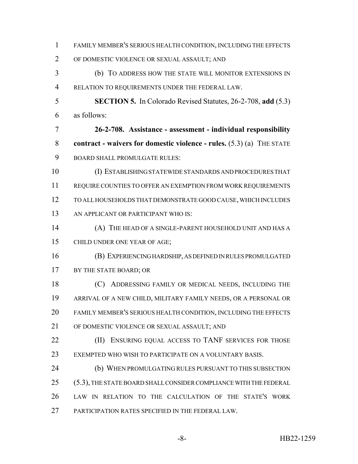| $\mathbf{1}$   | FAMILY MEMBER'S SERIOUS HEALTH CONDITION, INCLUDING THE EFFECTS         |
|----------------|-------------------------------------------------------------------------|
| 2              | OF DOMESTIC VIOLENCE OR SEXUAL ASSAULT; AND                             |
| 3              | (b) TO ADDRESS HOW THE STATE WILL MONITOR EXTENSIONS IN                 |
| $\overline{4}$ | RELATION TO REQUIREMENTS UNDER THE FEDERAL LAW.                         |
| 5              | <b>SECTION 5.</b> In Colorado Revised Statutes, 26-2-708, add (5.3)     |
| 6              | as follows:                                                             |
| 7              | 26-2-708. Assistance - assessment - individual responsibility           |
| 8              | contract - waivers for domestic violence - rules. $(5.3)$ (a) THE STATE |
| 9              | <b>BOARD SHALL PROMULGATE RULES:</b>                                    |
| 10             | (I) ESTABLISHING STATEWIDE STANDARDS AND PROCEDURES THAT                |
| 11             | REQUIRE COUNTIES TO OFFER AN EXEMPTION FROM WORK REQUIREMENTS           |
| 12             | TO ALL HOUSEHOLDS THAT DEMONSTRATE GOOD CAUSE, WHICH INCLUDES           |
| 13             | AN APPLICANT OR PARTICIPANT WHO IS:                                     |
| 14             | (A) THE HEAD OF A SINGLE-PARENT HOUSEHOLD UNIT AND HAS A                |
| 15             | CHILD UNDER ONE YEAR OF AGE;                                            |
| 16             | (B) EXPERIENCING HARDSHIP, AS DEFINED IN RULES PROMULGATED              |
| 17             | BY THE STATE BOARD; OR                                                  |
| 18             | (C) ADDRESSING FAMILY OR MEDICAL NEEDS, INCLUDING THE                   |
| 19             | ARRIVAL OF A NEW CHILD, MILITARY FAMILY NEEDS, OR A PERSONAL OR         |
| 20             | FAMILY MEMBER'S SERIOUS HEALTH CONDITION, INCLUDING THE EFFECTS         |
| 21             | OF DOMESTIC VIOLENCE OR SEXUAL ASSAULT; AND                             |
| 22             | ENSURING EQUAL ACCESS TO TANF SERVICES FOR THOSE<br>(II)                |
| 23             | EXEMPTED WHO WISH TO PARTICIPATE ON A VOLUNTARY BASIS.                  |
| 24             | (b) WHEN PROMULGATING RULES PURSUANT TO THIS SUBSECTION                 |
| 25             | (5.3), THE STATE BOARD SHALL CONSIDER COMPLIANCE WITH THE FEDERAL       |
| 26             | LAW IN RELATION TO THE CALCULATION OF THE STATE'S WORK                  |
| 27             | PARTICIPATION RATES SPECIFIED IN THE FEDERAL LAW.                       |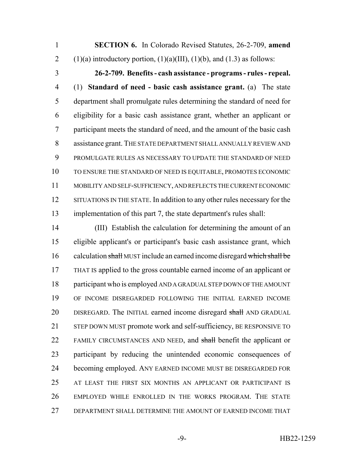**SECTION 6.** In Colorado Revised Statutes, 26-2-709, **amend** 2 (1)(a) introductory portion,  $(1)(a)(III)$ ,  $(1)(b)$ , and  $(1.3)$  as follows:

 **26-2-709. Benefits - cash assistance - programs - rules - repeal.** (1) **Standard of need - basic cash assistance grant.** (a) The state department shall promulgate rules determining the standard of need for eligibility for a basic cash assistance grant, whether an applicant or participant meets the standard of need, and the amount of the basic cash assistance grant. THE STATE DEPARTMENT SHALL ANNUALLY REVIEW AND PROMULGATE RULES AS NECESSARY TO UPDATE THE STANDARD OF NEED TO ENSURE THE STANDARD OF NEED IS EQUITABLE, PROMOTES ECONOMIC MOBILITY AND SELF-SUFFICIENCY, AND REFLECTS THE CURRENT ECONOMIC 12 SITUATIONS IN THE STATE. In addition to any other rules necessary for the implementation of this part 7, the state department's rules shall:

 (III) Establish the calculation for determining the amount of an eligible applicant's or participant's basic cash assistance grant, which 16 calculation shall MUST include an earned income disregard which shall be THAT IS applied to the gross countable earned income of an applicant or participant who is employed AND A GRADUAL STEP DOWN OF THE AMOUNT OF INCOME DISREGARDED FOLLOWING THE INITIAL EARNED INCOME 20 DISREGARD. The INITIAL earned income disregard shall AND GRADUAL STEP DOWN MUST promote work and self-sufficiency, BE RESPONSIVE TO 22 FAMILY CIRCUMSTANCES AND NEED, and shall benefit the applicant or participant by reducing the unintended economic consequences of 24 becoming employed. ANY EARNED INCOME MUST BE DISREGARDED FOR AT LEAST THE FIRST SIX MONTHS AN APPLICANT OR PARTICIPANT IS EMPLOYED WHILE ENROLLED IN THE WORKS PROGRAM. THE STATE DEPARTMENT SHALL DETERMINE THE AMOUNT OF EARNED INCOME THAT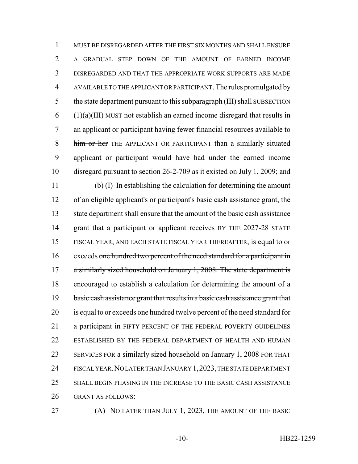MUST BE DISREGARDED AFTER THE FIRST SIX MONTHS AND SHALL ENSURE A GRADUAL STEP DOWN OF THE AMOUNT OF EARNED INCOME DISREGARDED AND THAT THE APPROPRIATE WORK SUPPORTS ARE MADE AVAILABLE TO THE APPLICANT OR PARTICIPANT. The rules promulgated by 5 the state department pursuant to this subparagraph (III) shall SUBSECTION (1)(a)(III) MUST not establish an earned income disregard that results in an applicant or participant having fewer financial resources available to 8 him or her THE APPLICANT OR PARTICIPANT than a similarly situated applicant or participant would have had under the earned income disregard pursuant to section 26-2-709 as it existed on July 1, 2009; and (b) (I) In establishing the calculation for determining the amount of an eligible applicant's or participant's basic cash assistance grant, the state department shall ensure that the amount of the basic cash assistance 14 grant that a participant or applicant receives BY THE 2027-28 STATE FISCAL YEAR, AND EACH STATE FISCAL YEAR THEREAFTER, is equal to or 16 exceeds one hundred two percent of the need standard for a participant in 17 a similarly sized household on January 1, 2008. The state department is 18 encouraged to establish a calculation for determining the amount of a 19 basic cash assistance grant that results in a basic cash assistance grant that 20 is equal to or exceeds one hundred twelve percent of the need standard for 21 a participant in FIFTY PERCENT OF THE FEDERAL POVERTY GUIDELINES ESTABLISHED BY THE FEDERAL DEPARTMENT OF HEALTH AND HUMAN 23 SERVICES FOR a similarly sized household on January 1, 2008 FOR THAT FISCAL YEAR.NO LATER THAN JANUARY 1,2023, THE STATE DEPARTMENT SHALL BEGIN PHASING IN THE INCREASE TO THE BASIC CASH ASSISTANCE GRANT AS FOLLOWS:

(A) NO LATER THAN JULY 1, 2023, THE AMOUNT OF THE BASIC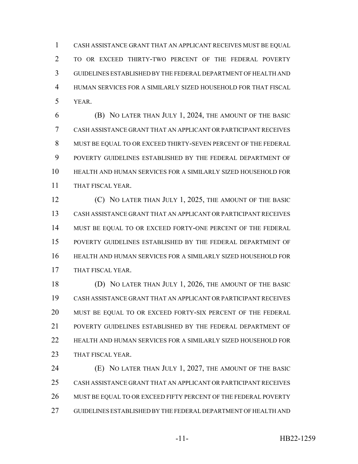CASH ASSISTANCE GRANT THAT AN APPLICANT RECEIVES MUST BE EQUAL TO OR EXCEED THIRTY-TWO PERCENT OF THE FEDERAL POVERTY GUIDELINES ESTABLISHED BY THE FEDERAL DEPARTMENT OF HEALTH AND HUMAN SERVICES FOR A SIMILARLY SIZED HOUSEHOLD FOR THAT FISCAL YEAR.

 (B) NO LATER THAN JULY 1, 2024, THE AMOUNT OF THE BASIC CASH ASSISTANCE GRANT THAT AN APPLICANT OR PARTICIPANT RECEIVES 8 MUST BE EQUAL TO OR EXCEED THIRTY-SEVEN PERCENT OF THE FEDERAL POVERTY GUIDELINES ESTABLISHED BY THE FEDERAL DEPARTMENT OF HEALTH AND HUMAN SERVICES FOR A SIMILARLY SIZED HOUSEHOLD FOR THAT FISCAL YEAR.

**(C)** NO LATER THAN JULY 1, 2025, THE AMOUNT OF THE BASIC CASH ASSISTANCE GRANT THAT AN APPLICANT OR PARTICIPANT RECEIVES MUST BE EQUAL TO OR EXCEED FORTY-ONE PERCENT OF THE FEDERAL POVERTY GUIDELINES ESTABLISHED BY THE FEDERAL DEPARTMENT OF HEALTH AND HUMAN SERVICES FOR A SIMILARLY SIZED HOUSEHOLD FOR THAT FISCAL YEAR.

 (D) NO LATER THAN JULY 1, 2026, THE AMOUNT OF THE BASIC CASH ASSISTANCE GRANT THAT AN APPLICANT OR PARTICIPANT RECEIVES MUST BE EQUAL TO OR EXCEED FORTY-SIX PERCENT OF THE FEDERAL POVERTY GUIDELINES ESTABLISHED BY THE FEDERAL DEPARTMENT OF HEALTH AND HUMAN SERVICES FOR A SIMILARLY SIZED HOUSEHOLD FOR 23 THAT FISCAL YEAR.

 (E) NO LATER THAN JULY 1, 2027, THE AMOUNT OF THE BASIC CASH ASSISTANCE GRANT THAT AN APPLICANT OR PARTICIPANT RECEIVES 26 MUST BE EQUAL TO OR EXCEED FIFTY PERCENT OF THE FEDERAL POVERTY GUIDELINES ESTABLISHED BY THE FEDERAL DEPARTMENT OF HEALTH AND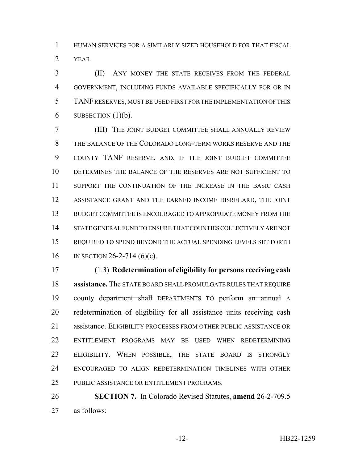HUMAN SERVICES FOR A SIMILARLY SIZED HOUSEHOLD FOR THAT FISCAL YEAR.

 (II) ANY MONEY THE STATE RECEIVES FROM THE FEDERAL GOVERNMENT, INCLUDING FUNDS AVAILABLE SPECIFICALLY FOR OR IN TANF RESERVES, MUST BE USED FIRST FOR THE IMPLEMENTATION OF THIS 6 SUBSECTION  $(1)(b)$ .

 (III) THE JOINT BUDGET COMMITTEE SHALL ANNUALLY REVIEW THE BALANCE OF THE COLORADO LONG-TERM WORKS RESERVE AND THE COUNTY TANF RESERVE, AND, IF THE JOINT BUDGET COMMITTEE DETERMINES THE BALANCE OF THE RESERVES ARE NOT SUFFICIENT TO 11 SUPPORT THE CONTINUATION OF THE INCREASE IN THE BASIC CASH ASSISTANCE GRANT AND THE EARNED INCOME DISREGARD, THE JOINT BUDGET COMMITTEE IS ENCOURAGED TO APPROPRIATE MONEY FROM THE STATE GENERAL FUND TO ENSURE THAT COUNTIES COLLECTIVELY ARE NOT REQUIRED TO SPEND BEYOND THE ACTUAL SPENDING LEVELS SET FORTH IN SECTION 26-2-714 (6)(c).

 (1.3) **Redetermination of eligibility for persons receiving cash assistance.** The STATE BOARD SHALL PROMULGATE RULES THAT REQUIRE 19 county department shall DEPARTMENTS TO perform an annual A redetermination of eligibility for all assistance units receiving cash 21 assistance. ELIGIBILITY PROCESSES FROM OTHER PUBLIC ASSISTANCE OR ENTITLEMENT PROGRAMS MAY BE USED WHEN REDETERMINING ELIGIBILITY. WHEN POSSIBLE, THE STATE BOARD IS STRONGLY ENCOURAGED TO ALIGN REDETERMINATION TIMELINES WITH OTHER PUBLIC ASSISTANCE OR ENTITLEMENT PROGRAMS.

 **SECTION 7.** In Colorado Revised Statutes, **amend** 26-2-709.5 as follows: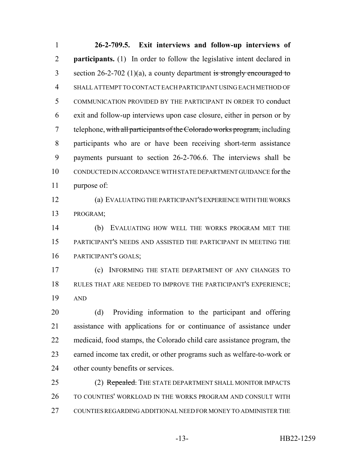**26-2-709.5. Exit interviews and follow-up interviews of participants.** (1) In order to follow the legislative intent declared in 3 section  $26-2-702$  (1)(a), a county department is strongly encouraged to SHALL ATTEMPT TO CONTACT EACH PARTICIPANT USING EACH METHOD OF COMMUNICATION PROVIDED BY THE PARTICIPANT IN ORDER TO conduct exit and follow-up interviews upon case closure, either in person or by 7 telephone, with all participants of the Colorado works program, including participants who are or have been receiving short-term assistance payments pursuant to section 26-2-706.6. The interviews shall be CONDUCTED IN ACCORDANCE WITH STATE DEPARTMENT GUIDANCE for the purpose of: (a) EVALUATING THE PARTICIPANT'S EXPERIENCE WITH THE WORKS PROGRAM; (b) EVALUATING HOW WELL THE WORKS PROGRAM MET THE PARTICIPANT'S NEEDS AND ASSISTED THE PARTICIPANT IN MEETING THE PARTICIPANT'S GOALS; (c) INFORMING THE STATE DEPARTMENT OF ANY CHANGES TO RULES THAT ARE NEEDED TO IMPROVE THE PARTICIPANT'S EXPERIENCE; AND (d) Providing information to the participant and offering assistance with applications for or continuance of assistance under medicaid, food stamps, the Colorado child care assistance program, the earned income tax credit, or other programs such as welfare-to-work or other county benefits or services. 25 (2) Repealed. THE STATE DEPARTMENT SHALL MONITOR IMPACTS

26 TO COUNTIES' WORKLOAD IN THE WORKS PROGRAM AND CONSULT WITH COUNTIES REGARDING ADDITIONAL NEED FOR MONEY TO ADMINISTER THE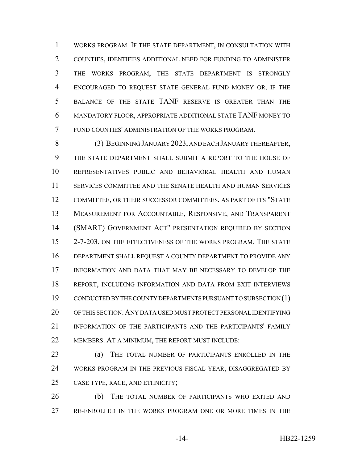WORKS PROGRAM. IF THE STATE DEPARTMENT, IN CONSULTATION WITH COUNTIES, IDENTIFIES ADDITIONAL NEED FOR FUNDING TO ADMINISTER THE WORKS PROGRAM, THE STATE DEPARTMENT IS STRONGLY ENCOURAGED TO REQUEST STATE GENERAL FUND MONEY OR, IF THE BALANCE OF THE STATE TANF RESERVE IS GREATER THAN THE MANDATORY FLOOR, APPROPRIATE ADDITIONAL STATE TANF MONEY TO FUND COUNTIES' ADMINISTRATION OF THE WORKS PROGRAM.

 (3) BEGINNING JANUARY 2023, AND EACH JANUARY THEREAFTER, THE STATE DEPARTMENT SHALL SUBMIT A REPORT TO THE HOUSE OF REPRESENTATIVES PUBLIC AND BEHAVIORAL HEALTH AND HUMAN SERVICES COMMITTEE AND THE SENATE HEALTH AND HUMAN SERVICES COMMITTEE, OR THEIR SUCCESSOR COMMITTEES, AS PART OF ITS "STATE MEASUREMENT FOR ACCOUNTABLE, RESPONSIVE, AND TRANSPARENT (SMART) GOVERNMENT ACT" PRESENTATION REQUIRED BY SECTION 2-7-203, ON THE EFFECTIVENESS OF THE WORKS PROGRAM. THE STATE DEPARTMENT SHALL REQUEST A COUNTY DEPARTMENT TO PROVIDE ANY INFORMATION AND DATA THAT MAY BE NECESSARY TO DEVELOP THE REPORT, INCLUDING INFORMATION AND DATA FROM EXIT INTERVIEWS CONDUCTED BY THE COUNTY DEPARTMENTS PURSUANT TO SUBSECTION (1) OF THIS SECTION.ANY DATA USED MUST PROTECT PERSONAL IDENTIFYING INFORMATION OF THE PARTICIPANTS AND THE PARTICIPANTS' FAMILY 22 MEMBERS. AT A MINIMUM, THE REPORT MUST INCLUDE:

 (a) THE TOTAL NUMBER OF PARTICIPANTS ENROLLED IN THE 24 WORKS PROGRAM IN THE PREVIOUS FISCAL YEAR, DISAGGREGATED BY CASE TYPE, RACE, AND ETHNICITY;

 (b) THE TOTAL NUMBER OF PARTICIPANTS WHO EXITED AND RE-ENROLLED IN THE WORKS PROGRAM ONE OR MORE TIMES IN THE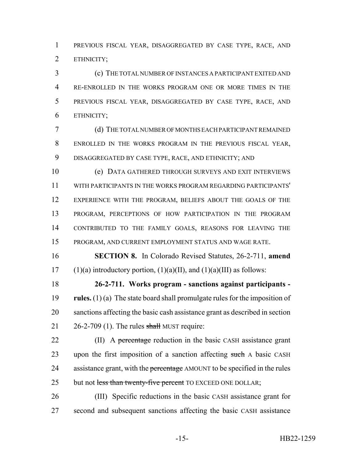PREVIOUS FISCAL YEAR, DISAGGREGATED BY CASE TYPE, RACE, AND ETHNICITY;

 (c) THE TOTAL NUMBER OF INSTANCES A PARTICIPANT EXITED AND RE-ENROLLED IN THE WORKS PROGRAM ONE OR MORE TIMES IN THE PREVIOUS FISCAL YEAR, DISAGGREGATED BY CASE TYPE, RACE, AND ETHNICITY;

 (d) THE TOTAL NUMBER OF MONTHS EACH PARTICIPANT REMAINED ENROLLED IN THE WORKS PROGRAM IN THE PREVIOUS FISCAL YEAR, DISAGGREGATED BY CASE TYPE, RACE, AND ETHNICITY; AND

 (e) DATA GATHERED THROUGH SURVEYS AND EXIT INTERVIEWS WITH PARTICIPANTS IN THE WORKS PROGRAM REGARDING PARTICIPANTS' EXPERIENCE WITH THE PROGRAM, BELIEFS ABOUT THE GOALS OF THE PROGRAM, PERCEPTIONS OF HOW PARTICIPATION IN THE PROGRAM CONTRIBUTED TO THE FAMILY GOALS, REASONS FOR LEAVING THE PROGRAM, AND CURRENT EMPLOYMENT STATUS AND WAGE RATE.

 **SECTION 8.** In Colorado Revised Statutes, 26-2-711, **amend** 17 (1)(a) introductory portion,  $(1)(a)(II)$ , and  $(1)(a)(III)$  as follows:

 **26-2-711. Works program - sanctions against participants - rules.** (1) (a) The state board shall promulgate rules for the imposition of sanctions affecting the basic cash assistance grant as described in section  $26-2-709$  (1). The rules shall MUST require:

22 (II) A percentage reduction in the basic CASH assistance grant 23 upon the first imposition of a sanction affecting such A basic CASH 24 assistance grant, with the percentage AMOUNT to be specified in the rules 25 but not less than twenty-five percent TO EXCEED ONE DOLLAR;

 (III) Specific reductions in the basic CASH assistance grant for second and subsequent sanctions affecting the basic CASH assistance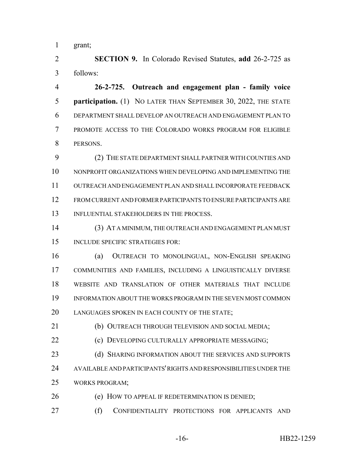grant;

 **SECTION 9.** In Colorado Revised Statutes, **add** 26-2-725 as follows:

 **26-2-725. Outreach and engagement plan - family voice participation.** (1) NO LATER THAN SEPTEMBER 30, 2022, THE STATE DEPARTMENT SHALL DEVELOP AN OUTREACH AND ENGAGEMENT PLAN TO PROMOTE ACCESS TO THE COLORADO WORKS PROGRAM FOR ELIGIBLE PERSONS.

 (2) THE STATE DEPARTMENT SHALL PARTNER WITH COUNTIES AND NONPROFIT ORGANIZATIONS WHEN DEVELOPING AND IMPLEMENTING THE OUTREACH AND ENGAGEMENT PLAN AND SHALL INCORPORATE FEEDBACK FROM CURRENT AND FORMER PARTICIPANTS TO ENSURE PARTICIPANTS ARE 13 INFLUENTIAL STAKEHOLDERS IN THE PROCESS.

 (3) AT A MINIMUM, THE OUTREACH AND ENGAGEMENT PLAN MUST INCLUDE SPECIFIC STRATEGIES FOR:

 (a) OUTREACH TO MONOLINGUAL, NON-ENGLISH SPEAKING COMMUNITIES AND FAMILIES, INCLUDING A LINGUISTICALLY DIVERSE WEBSITE AND TRANSLATION OF OTHER MATERIALS THAT INCLUDE INFORMATION ABOUT THE WORKS PROGRAM IN THE SEVEN MOST COMMON 20 LANGUAGES SPOKEN IN EACH COUNTY OF THE STATE;

(b) OUTREACH THROUGH TELEVISION AND SOCIAL MEDIA;

**(c) DEVELOPING CULTURALLY APPROPRIATE MESSAGING;** 

23 (d) SHARING INFORMATION ABOUT THE SERVICES AND SUPPORTS AVAILABLE AND PARTICIPANTS' RIGHTS AND RESPONSIBILITIES UNDER THE WORKS PROGRAM;

26 (e) HOW TO APPEAL IF REDETERMINATION IS DENIED;

(f) CONFIDENTIALITY PROTECTIONS FOR APPLICANTS AND

-16- HB22-1259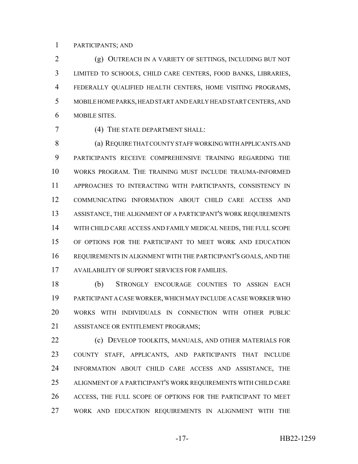### PARTICIPANTS; AND

 (g) OUTREACH IN A VARIETY OF SETTINGS, INCLUDING BUT NOT LIMITED TO SCHOOLS, CHILD CARE CENTERS, FOOD BANKS, LIBRARIES, FEDERALLY QUALIFIED HEALTH CENTERS, HOME VISITING PROGRAMS, MOBILE HOME PARKS, HEAD START AND EARLY HEAD START CENTERS, AND MOBILE SITES.

(4) THE STATE DEPARTMENT SHALL:

 (a) REQUIRE THAT COUNTY STAFF WORKING WITH APPLICANTS AND PARTICIPANTS RECEIVE COMPREHENSIVE TRAINING REGARDING THE WORKS PROGRAM. THE TRAINING MUST INCLUDE TRAUMA-INFORMED APPROACHES TO INTERACTING WITH PARTICIPANTS, CONSISTENCY IN COMMUNICATING INFORMATION ABOUT CHILD CARE ACCESS AND ASSISTANCE, THE ALIGNMENT OF A PARTICIPANT'S WORK REQUIREMENTS WITH CHILD CARE ACCESS AND FAMILY MEDICAL NEEDS, THE FULL SCOPE OF OPTIONS FOR THE PARTICIPANT TO MEET WORK AND EDUCATION REQUIREMENTS IN ALIGNMENT WITH THE PARTICIPANT'S GOALS, AND THE AVAILABILITY OF SUPPORT SERVICES FOR FAMILIES.

 (b) STRONGLY ENCOURAGE COUNTIES TO ASSIGN EACH PARTICIPANT A CASE WORKER, WHICH MAY INCLUDE A CASE WORKER WHO WORKS WITH INDIVIDUALS IN CONNECTION WITH OTHER PUBLIC ASSISTANCE OR ENTITLEMENT PROGRAMS;

**(c) DEVELOP TOOLKITS, MANUALS, AND OTHER MATERIALS FOR**  COUNTY STAFF, APPLICANTS, AND PARTICIPANTS THAT INCLUDE INFORMATION ABOUT CHILD CARE ACCESS AND ASSISTANCE, THE ALIGNMENT OF A PARTICIPANT'S WORK REQUIREMENTS WITH CHILD CARE ACCESS, THE FULL SCOPE OF OPTIONS FOR THE PARTICIPANT TO MEET WORK AND EDUCATION REQUIREMENTS IN ALIGNMENT WITH THE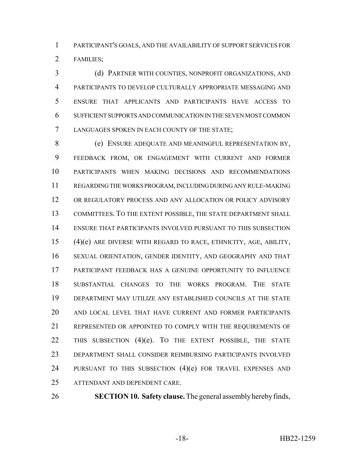PARTICIPANT'S GOALS, AND THE AVAILABILITY OF SUPPORT SERVICES FOR FAMILIES;

 (d) PARTNER WITH COUNTIES, NONPROFIT ORGANIZATIONS, AND PARTICIPANTS TO DEVELOP CULTURALLY APPROPRIATE MESSAGING AND ENSURE THAT APPLICANTS AND PARTICIPANTS HAVE ACCESS TO SUFFICIENT SUPPORTS AND COMMUNICATION IN THE SEVEN MOST COMMON LANGUAGES SPOKEN IN EACH COUNTY OF THE STATE;

 (e) ENSURE ADEQUATE AND MEANINGFUL REPRESENTATION BY, FEEDBACK FROM, OR ENGAGEMENT WITH CURRENT AND FORMER PARTICIPANTS WHEN MAKING DECISIONS AND RECOMMENDATIONS REGARDING THE WORKS PROGRAM, INCLUDING DURING ANY RULE-MAKING OR REGULATORY PROCESS AND ANY ALLOCATION OR POLICY ADVISORY COMMITTEES. TO THE EXTENT POSSIBLE, THE STATE DEPARTMENT SHALL ENSURE THAT PARTICIPANTS INVOLVED PURSUANT TO THIS SUBSECTION (4)(e) ARE DIVERSE WITH REGARD TO RACE, ETHNICITY, AGE, ABILITY, SEXUAL ORIENTATION, GENDER IDENTITY, AND GEOGRAPHY AND THAT PARTICIPANT FEEDBACK HAS A GENUINE OPPORTUNITY TO INFLUENCE SUBSTANTIAL CHANGES TO THE WORKS PROGRAM. THE STATE DEPARTMENT MAY UTILIZE ANY ESTABLISHED COUNCILS AT THE STATE AND LOCAL LEVEL THAT HAVE CURRENT AND FORMER PARTICIPANTS 21 REPRESENTED OR APPOINTED TO COMPLY WITH THE REQUIREMENTS OF 22 THIS SUBSECTION (4)(e). TO THE EXTENT POSSIBLE, THE STATE DEPARTMENT SHALL CONSIDER REIMBURSING PARTICIPANTS INVOLVED 24 PURSUANT TO THIS SUBSECTION (4)(e) FOR TRAVEL EXPENSES AND ATTENDANT AND DEPENDENT CARE.

**SECTION 10. Safety clause.** The general assembly hereby finds,